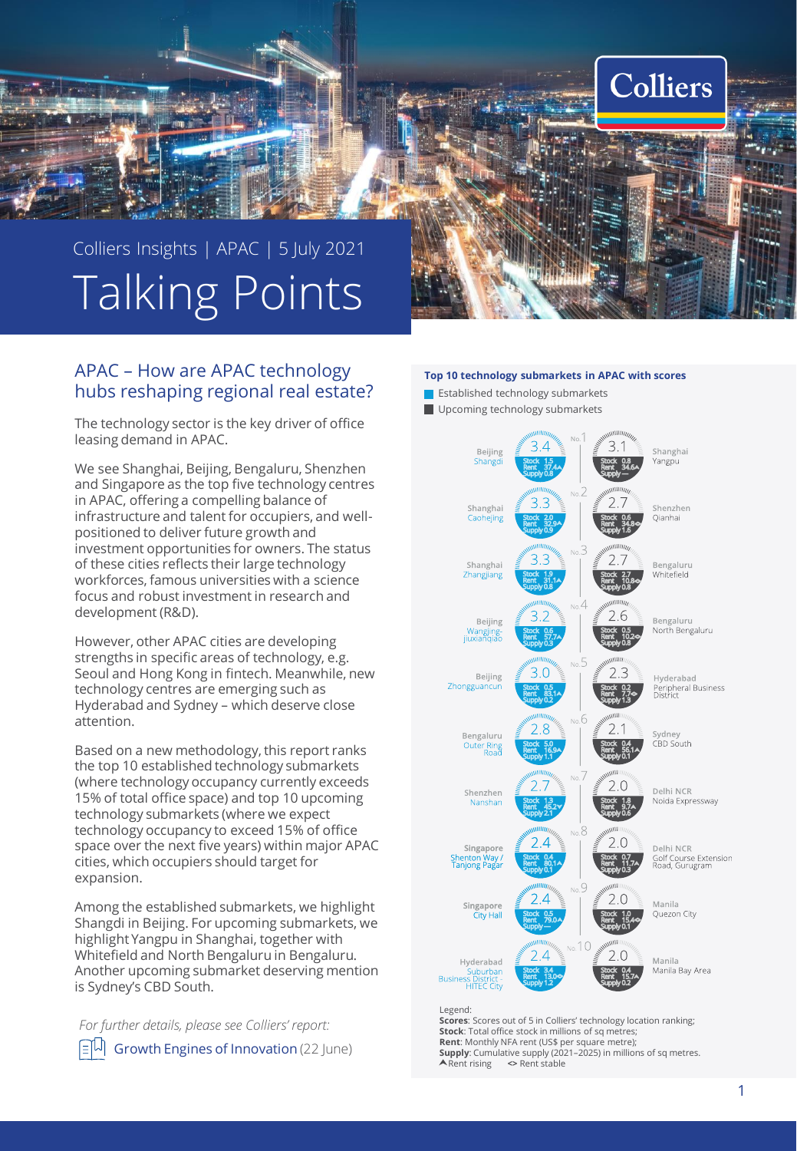

# APAC – How are APAC technology hubs reshaping regional real estate?

The technology sector is the key driver of office leasing demand in APAC.

We see Shanghai, Beijing, Bengaluru, Shenzhen and Singapore as the top five technology centres in APAC, offering a compelling balance of infrastructure and talent for occupiers, and wellpositioned to deliver future growth and investment opportunities for owners. The status of these cities reflects their large technology workforces, famous universities with a science focus and robust investment in research and development (R&D).

However, other APAC cities are developing strengths in specific areas of technology, e.g. Seoul and Hong Kong in fintech. Meanwhile, new technology centres are emerging such as Hyderabad and Sydney – which deserve close attention.

Based on a new methodology, this report ranks the top 10 established technology submarkets (where technology occupancy currently exceeds 15% of total office space) and top 10 upcoming technology submarkets (where we expect technology occupancy to exceed 15% of office space over the next five years) within major APAC cities, which occupiers should target for expansion.

Among the established submarkets, we highlight Shangdi in Beijing. For upcoming submarkets, we highlight Yangpu in Shanghai, together with Whitefield and North Bengaluru in Bengaluru. Another upcoming submarket deserving mention is Sydney's CBD South.

*For further details, please see Colliers' report:* [Growth Engines of Innovation](https://www.colliers.com/en-xa/research/2021-apac-growth-engines-of-innovation-asia-pacific-technology-sector-colliers) (22 June)

#### **Top 10 technology submarkets in APAC with scores**

- **E** Established technology submarkets
- Upcoming technology submarkets



#### Legend:

**Scores**: Scores out of 5 in Colliers' technology location ranking; **Stock:** Total office stock in millions of sq metres; **Rent**: Monthly NFA rent (US\$ per square metre); **Supply**: Cumulative supply (2021–2025) in millions of sq metres.<br> **A** Rent rising  $\iff$  Rent stable Rent rising **<>** Rent stable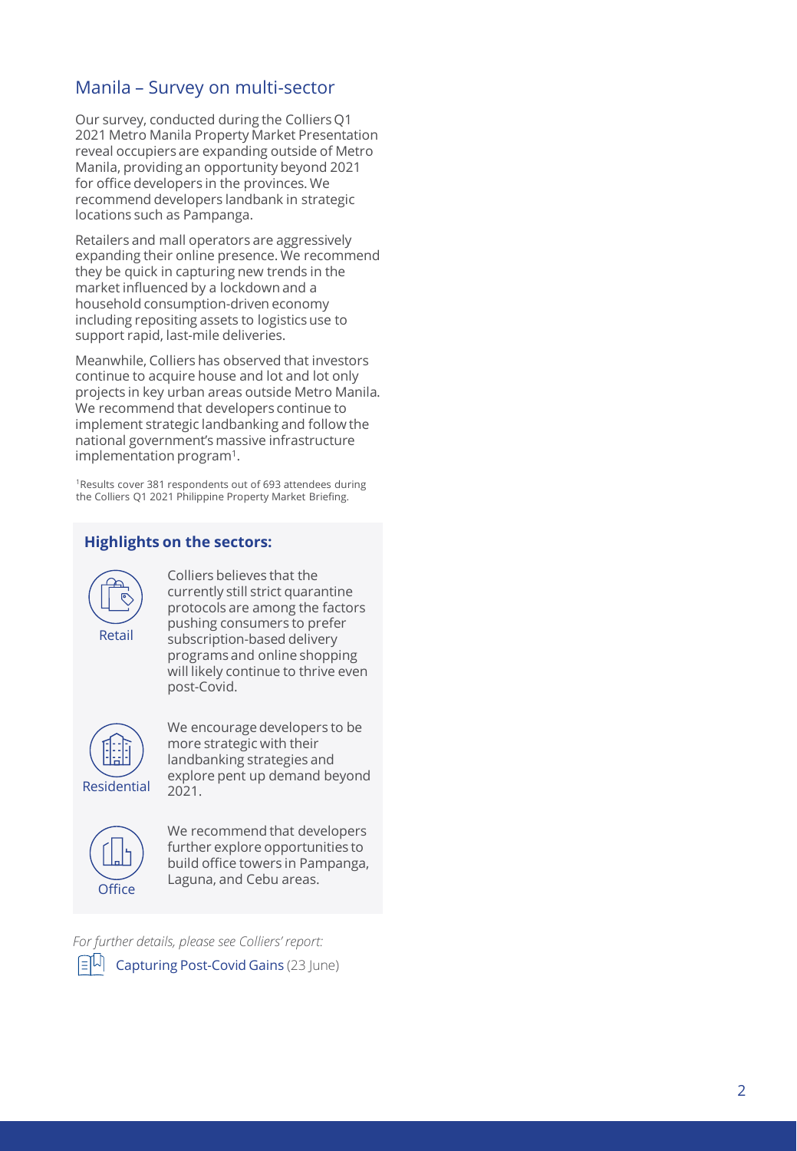# Manila - Survey on multi-sector

Our survey, conducted during the Colliers Q1 2021 Metro Manila Property Market Presentation reveal occupiers are expanding outside of Metro Manila, providing an opportunity beyond 2021 for office developers in the provinces. We recommend developers landbank in strategic locations such as Pampanga.

Retailers and mall operators are aggressively expanding their online presence. We recommend they be quick in capturing new trends in the market influenced by a lockdown and a household consumption -driven economy including repositing assets to logistics use to support rapid, last -mile deliveries.

Meanwhile, Colliers has observed that investors continue to acquire house and lot and lot only projects in key urban areas outside Metro Manila. We recommend that developers continue to implement strategic landbanking and follow the national government's massive infrastructure implementation program 1 .

the Colliers Q1 2021 Philippine Property Market Briefing.

# **Highlights on the sectors:**



**For further details, please see Colliers'** report<br> **For further details**<br> **For further details, please see Colliers**<br> **For further details**<br> **For further details**<br> **For further details, please see Colliers'**<br> **For further** Colliers believes that the currently still strict quarantine protocols are among the factors pushing consumers to prefer subscription -based delivery programs and online shopping will likely continue to thrive even post -Covid.



We encourage developers to be more strategic with their landbanking strategies and explore pent up demand beyond



We recommend that developers further explore opportunities to build office towers in Pampanga, Laguna, and Cebu areas.

[Capturing Post](https://www.colliers.com/en-ph/research/flash-report-capturing-post-covid-gains) -Covid Gains (23 June)